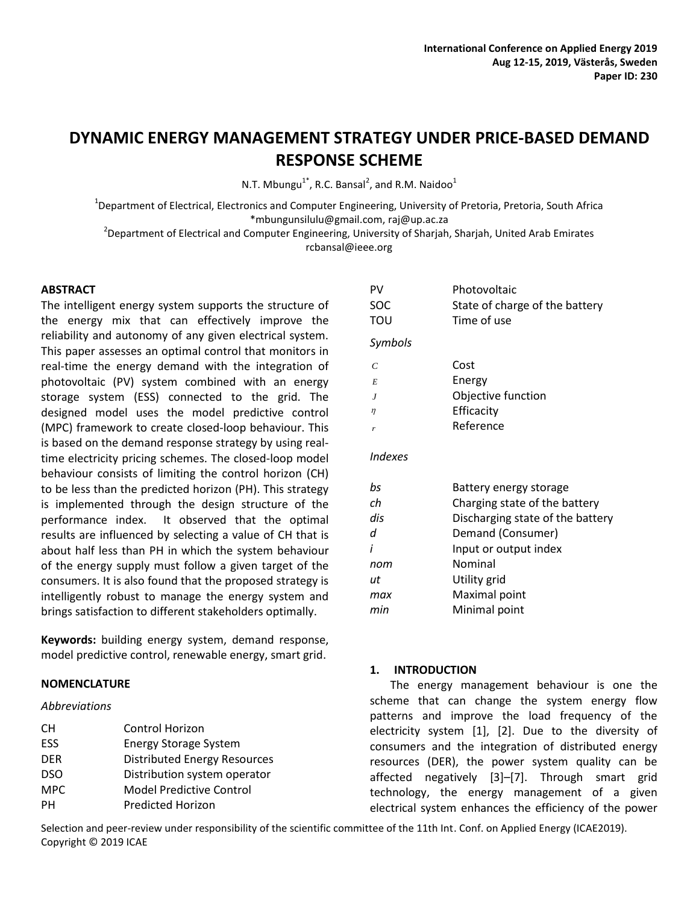# **DYNAMIC ENERGY MANAGEMENT STRATEGY UNDER PRICE-BASED DEMAND RESPONSE SCHEME**

N.T. Mbungu<sup>1\*</sup>, R.C. Bansal<sup>2</sup>, and R.M. Naidoo<sup>1</sup>

<sup>1</sup>Department of Electrical, Electronics and Computer Engineering, University of Pretoria, Pretoria, South Africa [\\*mbungunsilulu@gmail.com,](mailto:*mbungunsilulu@gmail.com) [raj@up.ac.za](mailto:raj@up.ac.za)

<sup>2</sup>Department of Electrical and Computer Engineering, University of Sharjah, Sharjah, United Arab Emirates rcbansal@ieee.org

## **ABSTRACT**

The intelligent energy system supports the structure of the energy mix that can effectively improve the reliability and autonomy of any given electrical system. This paper assesses an optimal control that monitors in real-time the energy demand with the integration of photovoltaic (PV) system combined with an energy storage system (ESS) connected to the grid. The designed model uses the model predictive control (MPC) framework to create closed-loop behaviour. This is based on the demand response strategy by using realtime electricity pricing schemes. The closed-loop model behaviour consists of limiting the control horizon (CH) to be less than the predicted horizon (PH). This strategy is implemented through the design structure of the performance index. It observed that the optimal results are influenced by selecting a value of CH that is about half less than PH in which the system behaviour of the energy supply must follow a given target of the consumers. It is also found that the proposed strategy is intelligently robust to manage the energy system and brings satisfaction to different stakeholders optimally.

**Keywords:** building energy system, demand response, model predictive control, renewable energy, smart grid.

## **NOMENCLATURE**

## *Abbreviations*

| PV             | Photovoltaic                     |
|----------------|----------------------------------|
| SOC            | State of charge of the battery   |
| του            | Time of use                      |
| Symbols        |                                  |
| $\mathcal{C}$  | Cost                             |
| E              | Energy                           |
| $\overline{J}$ | Objective function               |
| η              | Efficacity                       |
| r              | Reference                        |
| Indexes        |                                  |
| bs             | Battery energy storage           |
| сh             | Charging state of the battery    |
| dis            | Discharging state of the battery |
| d              | Demand (Consumer)                |
| i              | Input or output index            |

| nom | Nominal       |  |  |
|-----|---------------|--|--|
| IJt | Utility grid  |  |  |
| max | Maximal point |  |  |
| min | Minimal point |  |  |

## **1. INTRODUCTION**

The energy management behaviour is one the scheme that can change the system energy flow patterns and improve the load frequency of the electricity system [1], [2]. Due to the diversity of consumers and the integration of distributed energy resources (DER), the power system quality can be affected negatively [3]–[7]. Through smart grid technology, the energy management of a given electrical system enhances the efficiency of the power

Selection and peer-review under responsibility of the scientific committee of the 11th Int. Conf. on Applied Energy (ICAE2019). Copyright © 2019 ICAE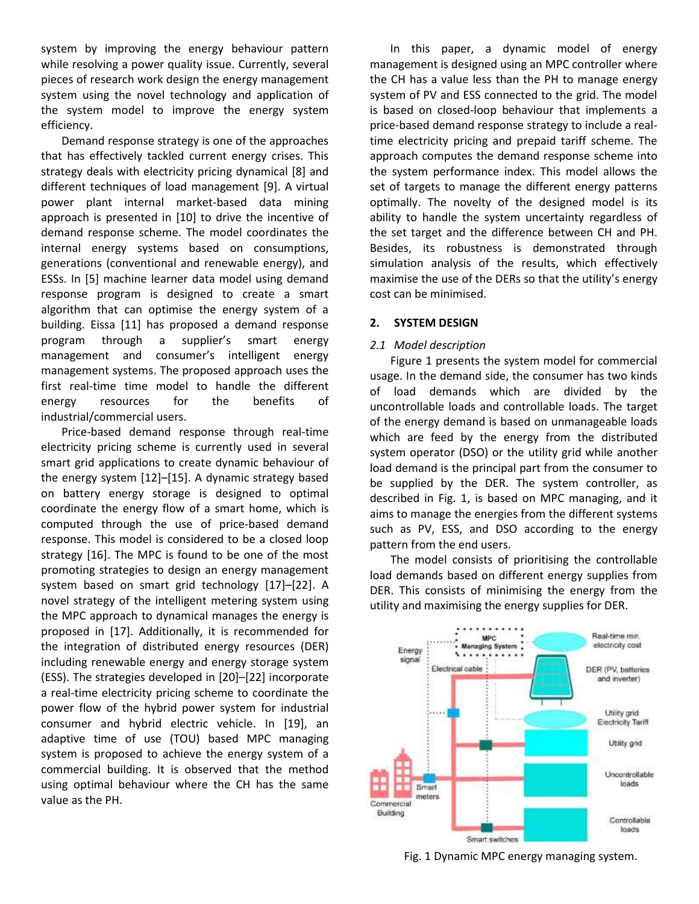system by improving the energy behaviour pattern while resolving a power quality issue. Currently, several pieces of research work design the energy management system using the novel technology and application of the system model to improve the energy system efficiency.

Demand response strategy is one of the approaches that has effectively tackled current energy crises. This strategy deals with electricity pricing dynamical [8] and different techniques of load management [9]. A virtual power plant internal market-based data mining approach is presented in [10] to drive the incentive of demand response scheme. The model coordinates the internal energy systems based on consumptions, generations (conventional and renewable energy), and ESSs. In [5] machine learner data model using demand response program is designed to create a smart algorithm that can optimise the energy system of a building. Eissa [11] has proposed a demand response program through a supplier's smart energy management and consumer's intelligent energy management systems. The proposed approach uses the first real-time time model to handle the different energy resources for the benefits of industrial/commercial users.

Price-based demand response through real-time electricity pricing scheme is currently used in several smart grid applications to create dynamic behaviour of the energy system [12]–[15]. A dynamic strategy based on battery energy storage is designed to optimal coordinate the energy flow of a smart home, which is computed through the use of price-based demand response. This model is considered to be a closed loop strategy [16]. The MPC is found to be one of the most promoting strategies to design an energy management system based on smart grid technology [17]–[22]. A novel strategy of the intelligent metering system using the MPC approach to dynamical manages the energy is proposed in [17]. Additionally, it is recommended for the integration of distributed energy resources (DER) including renewable energy and energy storage system (ESS). The strategies developed in [20]–[22] incorporate a real-time electricity pricing scheme to coordinate the power flow of the hybrid power system for industrial consumer and hybrid electric vehicle. In [19], an adaptive time of use (TOU) based MPC managing system is proposed to achieve the energy system of a commercial building. It is observed that the method using optimal behaviour where the CH has the same value as the PH.

In this paper, a dynamic model of energy management is designed using an MPC controller where the CH has a value less than the PH to manage energy system of PV and ESS connected to the grid. The model is based on closed-loop behaviour that implements a price-based demand response strategy to include a realtime electricity pricing and prepaid tariff scheme. The approach computes the demand response scheme into the system performance index. This model allows the set of targets to manage the different energy patterns optimally. The novelty of the designed model is its ability to handle the system uncertainty regardless of the set target and the difference between CH and PH. Besides, its robustness is demonstrated through simulation analysis of the results, which effectively maximise the use of the DERs so that the utility's energy cost can be minimised.

## **2. SYSTEM DESIGN**

## *2.1 Model description*

Figure 1 presents the system model for commercial usage. In the demand side, the consumer has two kinds of load demands which are divided by the uncontrollable loads and controllable loads. The target of the energy demand is based on unmanageable loads which are feed by the energy from the distributed system operator (DSO) or the utility grid while another load demand is the principal part from the consumer to be supplied by the DER. The system controller, as described in Fig. 1, is based on MPC managing, and it aims to manage the energies from the different systems such as PV, ESS, and DSO according to the energy pattern from the end users.

The model consists of prioritising the controllable load demands based on different energy supplies from DER. This consists of minimising the energy from the utility and maximising the energy supplies for DER.



Fig. 1 Dynamic MPC energy managing system.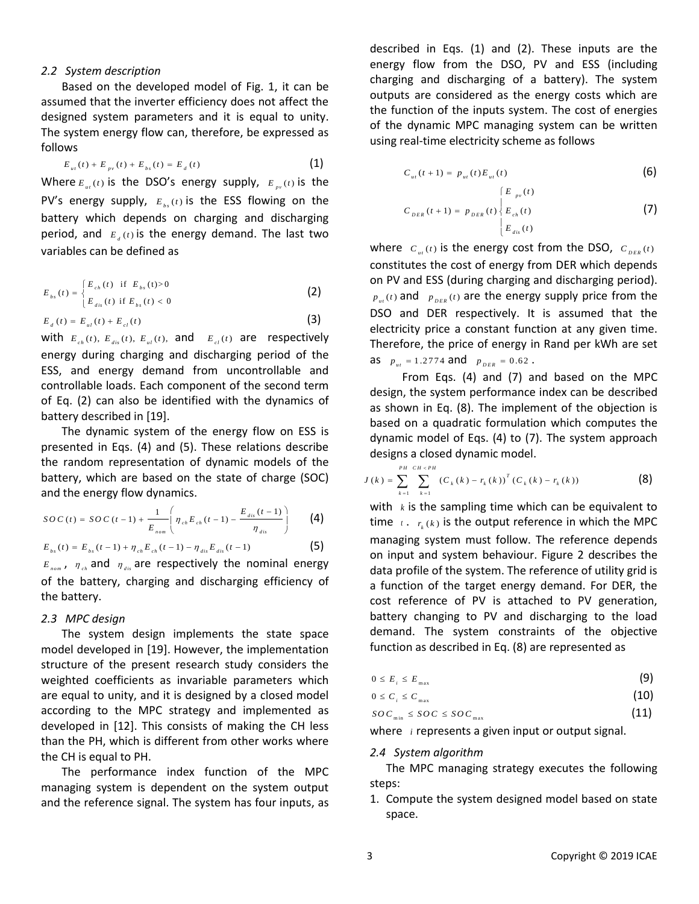#### *2.2 System description*

Based on the developed model of Fig. 1, it can be assumed that the inverter efficiency does not affect the designed system parameters and it is equal to unity. The system energy flow can, therefore, be expressed as follows

$$
E_{_{ut}}(t) + E_{_{pv}}(t) + E_{_{bs}}(t) = E_{_d}(t)
$$
\n(1)

Where  $E_{\mu\nu}(t)$  is the DSO's energy supply,  $E_{\mu\nu}(t)$  is the PV's energy supply,  $E_{bs}(t)$  is the ESS flowing on the battery which depends on charging and discharging period, and  $E_{\mu}(t)$  is the energy demand. The last two variables can be defined as

$$
E_{bs}(t) = \begin{cases} E_{ch}(t) & \text{if } E_{bs}(t) > 0 \\ E_{dis}(t) & \text{if } E_{bs}(t) < 0 \end{cases}
$$
\n
$$
E_{d}(t) = E_{d}(t) + E_{el}(t)
$$
\n(3)

with  $E_{ch}(t)$ ,  $E_{dis}(t)$ ,  $E_{ul}(t)$ , and  $E_{el}(t)$  are respectively energy during charging and discharging period of the ESS, and energy demand from uncontrollable and controllable loads. Each component of the second term of Eq. (2) can also be identified with the dynamics of battery described in [19].

The dynamic system of the energy flow on ESS is presented in Eqs. (4) and (5). These relations describe the random representation of dynamic models of the battery, which are based on the state of charge (SOC) and the energy flow dynamics.

and the energy flow dynamics.  
\n
$$
SO C(t) = SO C(t-1) + \frac{1}{E_{nom}} \left( \eta_{ch} E_{ch}(t-1) - \frac{E_{dis}(t-1)}{\eta_{dis}} \right)
$$
\n(4)  
\n
$$
E_{bs}(t) = E_{bs}(t-1) + \eta_{ch} E_{ch}(t-1) - \eta_{dis} E_{dis}(t-1)
$$
\n(5)

$$
E_{bs}(t) = E_{bs}(t-1) + \eta_{ch} E_{ch}(t-1) - \eta_{dis} E_{dis}(t-1)
$$
\n(5)

 $E_{\text{nom}}$ ,  $\eta_{\text{ch}}$  and  $\eta_{\text{dis}}$  are respectively the nominal energy of the battery, charging and discharging efficiency of the battery.

#### *2.3 MPC design*

The system design implements the state space model developed in [19]. However, the implementation structure of the present research study considers the weighted coefficients as invariable parameters which are equal to unity, and it is designed by a closed model according to the MPC strategy and implemented as developed in [12]. This consists of making the CH less than the PH, which is different from other works where the CH is equal to PH.

The performance index function of the MPC managing system is dependent on the system output and the reference signal. The system has four inputs, as described in Eqs. (1) and (2). These inputs are the energy flow from the DSO, PV and ESS (including charging and discharging of a battery). The system outputs are considered as the energy costs which are the function of the inputs system. The cost of energies of the dynamic MPC managing system can be written using real-time electricity scheme as follows

$$
C_{_{ut}}(t+1) = p_{_{ut}}(t) E_{_{ut}}(t)
$$
\n(6)

$$
C_{_{DER}}(t+1) = p_{_{DER}}(t) \begin{cases} E_{_{pv}}(t) \\ E_{_{ch}}(t) \\ E_{_{dis}}(t) \end{cases}
$$
 (7)

where  $\vert C_{u} \vert_{(t)}$  is the energy cost from the DSO,  $\vert C_{_{DER}(t)} \vert$ constitutes the cost of energy from DER which depends on PV and ESS (during charging and discharging period).  $p_{\mu\nu}(t)$  and  $p_{\mu\nu}(t)$  are the energy supply price from the DSO and DER respectively. It is assumed that the electricity price a constant function at any given time. Therefore, the price of energy in Rand per kWh are set as  $p_{u} = 1.2774$  and  $p_{DER} = 0.62$ .

From Eqs. (4) and (7) and based on the MPC design, the system performance index can be described as shown in Eq. (8). The implement of the objection is based on a quadratic formulation which computes the dynamic model of Eqs. (4) to (7). The system approach designs a closed dynamic model.

$$
\text{designs a closed dynamic model.}
$$
\n
$$
J(k) = \sum_{k=1}^{PH} \sum_{k=1}^{CH \times PH} \left( C_k(k) - r_k(k) \right)^T \left( C_k(k) - r_k(k) \right) \tag{8}
$$

with *k* is the sampling time which can be equivalent to time  $\tau$ .  $r_k(k)$  is the output reference in which the MPC managing system must follow. The reference depends on input and system behaviour. Figure 2 describes the data profile of the system. The reference of utility grid is a function of the target energy demand. For DER, the cost reference of PV is attached to PV generation, battery changing to PV and discharging to the load demand. The system constraints of the objective function as described in Eq. (8) are represented as

$$
0 \leq E_{i} \leq E_{\max} \tag{9}
$$

$$
0 \leq C_i \leq C_{\max} \tag{10}
$$

$$
SOC_{\min} \leq SOC \leq SOC_{\max} \tag{11}
$$

where *i* represents a given input or output signal.

## *2.4 System algorithm*

The MPC managing strategy executes the following steps:

1. Compute the system designed model based on state space.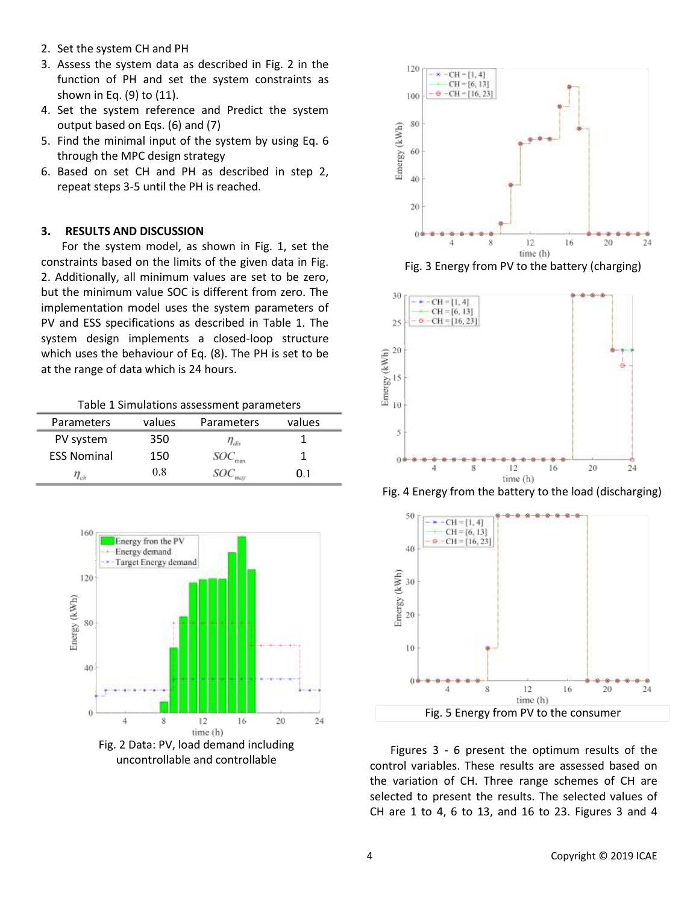- 2. Set the system CH and PH
- 3. Assess the system data as described in Fig. 2 in the function of PH and set the system constraints as shown in Eq. (9) to (11).
- 4. Set the system reference and Predict the system output based on Eqs. (6) and (7)
- 5. Find the minimal input of the system by using Eq. 6 through the MPC design strategy
- 6. Based on set CH and PH as described in step 2, repeat steps 3-5 until the PH is reached.

## **3. RESULTS AND DISCUSSION**

For the system model, as shown in Fig. 1, set the constraints based on the limits of the given data in Fig. 2. Additionally, all minimum values are set to be zero, but the minimum value SOC is different from zero. The implementation model uses the system parameters of PV and ESS specifications as described in Table 1. The system design implements a closed-loop structure which uses the behaviour of Eq. (8). The PH is set to be at the range of data which is 24 hours.

Table 1 Simulations assessment parameters

| <b>Parameters</b>  | values | Parameters | values |  |
|--------------------|--------|------------|--------|--|
| PV system          | 350    | 'Liis      |        |  |
| <b>ESS Nominal</b> | 150    |            |        |  |
|                    | 08     |            | O 1    |  |





Fig. 3 Energy from PV to the battery (charging)



Fig. 4 Energy from the battery to the load (discharging)



Figures 3 - 6 present the optimum results of the control variables. These results are assessed based on the variation of CH. Three range schemes of CH are selected to present the results. The selected values of CH are 1 to 4, 6 to 13, and 16 to 23. Figures 3 and 4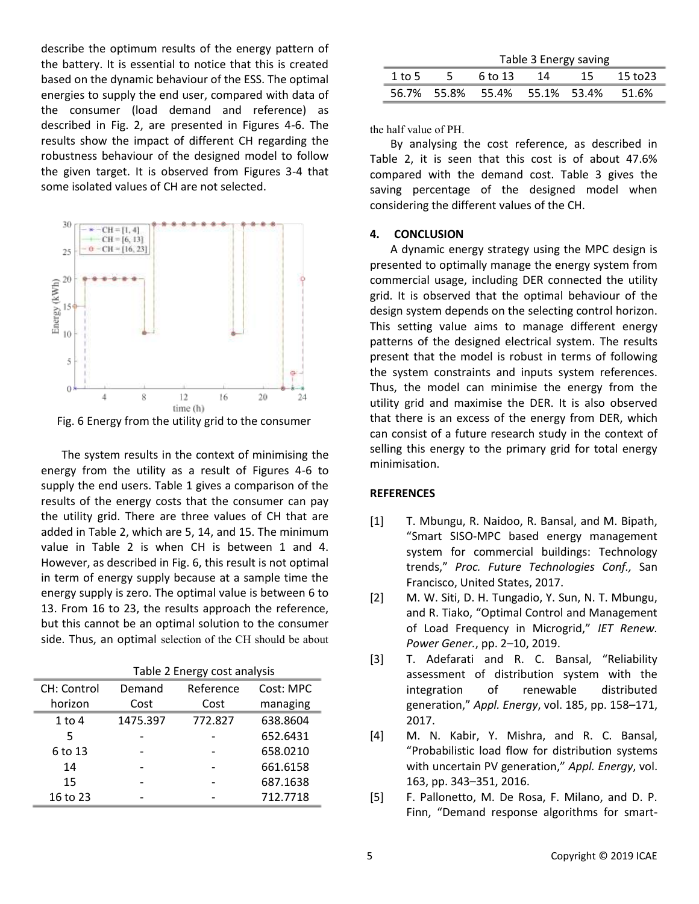describe the optimum results of the energy pattern of the battery. It is essential to notice that this is created based on the dynamic behaviour of the ESS. The optimal energies to supply the end user, compared with data of the consumer (load demand and reference) as described in Fig. 2, are presented in Figures 4-6. The results show the impact of different CH regarding the robustness behaviour of the designed model to follow the given target. It is observed from Figures 3-4 that some isolated values of CH are not selected.



Fig. 6 Energy from the utility grid to the consumer

The system results in the context of minimising the energy from the utility as a result of Figures 4-6 to supply the end users. Table 1 gives a comparison of the results of the energy costs that the consumer can pay the utility grid. There are three values of CH that are added in Table 2, which are 5, 14, and 15. The minimum value in Table 2 is when CH is between 1 and 4. However, as described in Fig. 6, this result is not optimal in term of energy supply because at a sample time the energy supply is zero. The optimal value is between 6 to 13. From 16 to 23, the results approach the reference, but this cannot be an optimal solution to the consumer side. Thus, an optimal selection of the CH should be about

|             | Table 2 Energy cost analysis |           |           |  |
|-------------|------------------------------|-----------|-----------|--|
| CH: Control | Demand                       | Reference | Cost: MPC |  |
| horizon     | Cost                         | Cost      | managing  |  |
| $1$ to $4$  | 1475.397                     | 772.827   | 638.8604  |  |
| 5           |                              |           | 652.6431  |  |
| 6 to 13     |                              |           | 658.0210  |  |
| 14          |                              |           | 661.6158  |  |
| 15          |                              |           | 687.1638  |  |
| 16 to 23    |                              |           | 712.7718  |  |

|        | Table 3 Energy saving |                                     |    |     |          |  |
|--------|-----------------------|-------------------------------------|----|-----|----------|--|
| 1 to 5 | -5.                   | 6 to 13                             | 14 | -15 | 15 to 23 |  |
|        |                       | 56.7% 55.8% 55.4% 55.1% 53.4% 51.6% |    |     |          |  |

the half value of PH.

By analysing the cost reference, as described in Table 2, it is seen that this cost is of about 47.6% compared with the demand cost. Table 3 gives the saving percentage of the designed model when considering the different values of the CH.

#### **4. CONCLUSION**

A dynamic energy strategy using the MPC design is presented to optimally manage the energy system from commercial usage, including DER connected the utility grid. It is observed that the optimal behaviour of the design system depends on the selecting control horizon. This setting value aims to manage different energy patterns of the designed electrical system. The results present that the model is robust in terms of following the system constraints and inputs system references. Thus, the model can minimise the energy from the utility grid and maximise the DER. It is also observed that there is an excess of the energy from DER, which can consist of a future research study in the context of selling this energy to the primary grid for total energy minimisation.

## **REFERENCES**

- [1] T. Mbungu, R. Naidoo, R. Bansal, and M. Bipath, "Smart SISO-MPC based energy management system for commercial buildings: Technology trends," *Proc. Future Technologies Conf.,* San Francisco, United States, 2017.
- [2] M. W. Siti, D. H. Tungadio, Y. Sun, N. T. Mbungu, and R. Tiako, "Optimal Control and Management of Load Frequency in Microgrid," *IET Renew. Power Gener.*, pp. 2–10, 2019.
- [3] T. Adefarati and R. C. Bansal, "Reliability assessment of distribution system with the integration of renewable distributed generation," *Appl. Energy*, vol. 185, pp. 158–171, 2017.
- [4] M. N. Kabir, Y. Mishra, and R. C. Bansal, "Probabilistic load flow for distribution systems with uncertain PV generation," *Appl. Energy*, vol. 163, pp. 343–351, 2016.
- [5] F. Pallonetto, M. De Rosa, F. Milano, and D. P. Finn, "Demand response algorithms for smart-